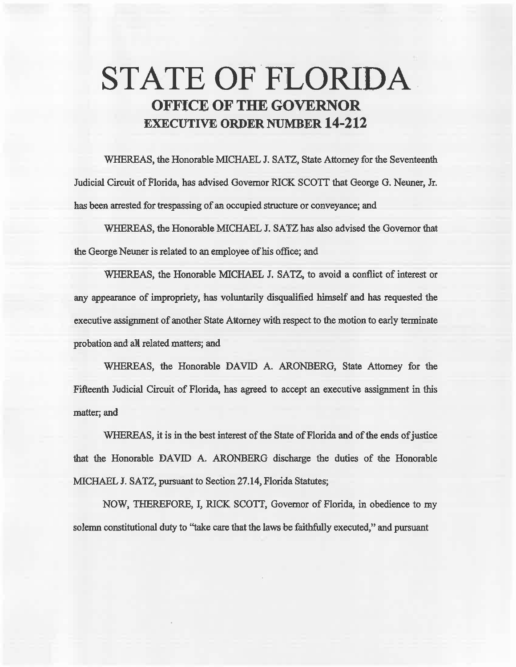# STATE OF FLORIDA OFFICE OF THE GOVERNOR EXECUTIVE ORDER NUMBER 14-212

WHEREAS, the Honorable MICHAEL J. SATZ, State Attorney for the Seventeenth Judicial Circuit of Florida, has advised Governor RICK SCOIT that George G. Neuner, Jr. has been arrested for trespassing of an occupied structure or conveyance; and

WHEREAS, the Honorable MICHAEL J. SATZ has also advised the Governor that the George Neuner is related to an employee of his office; and

WHEREAS, the Honorable MICHAEL J. SATZ, to avoid a conflict of interest or any appearance of impropriety, has voluntarily disqualified himself and has requested the executive assignment of another State Attorney with respect to the motion to early terminate probation and all related matters; and

WHEREAS, the Honorable DAVID A. ARONBERG, State Attorney for the Fifteenth Judicial Circuit of Florida, has agreed to accept an executive assignment in this matter; and

WHEREAS, it is in the best interest of the State of Florida and of the ends of justice that the Honorable DAVID A. ARONBERG discharge the duties of the Honorable MICHAEL J. SATZ, pursuant to Section 27.14, Florida Statutes;

NOW, THEREFORE, I, RICK SCOTT, Governor of Florida, in obedience to my solemn constitutional duty to "take care that the laws be faithfully executed,'' and pursuant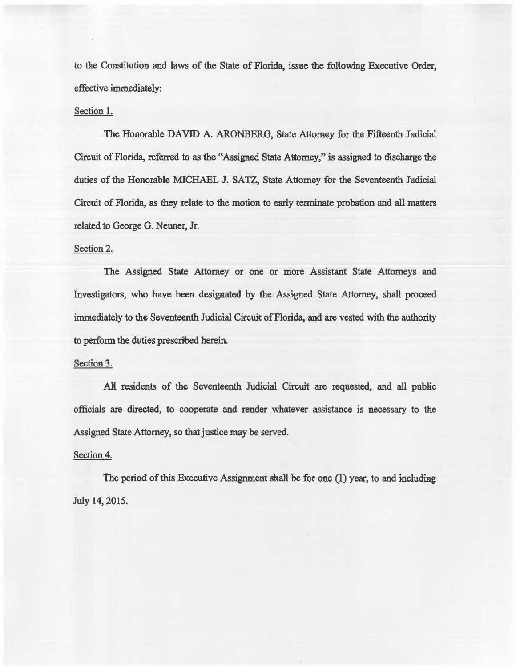to the Constitution and laws of the State of Florida, issue the following Executive Order, effective immediately:

#### Section 1.

The Honorable DAVID A. ARONBERG, State Attorney for the Fifteenth Judicial Circuit of Florida, referred to as the "Assigned State Attorney," is assigned to discharge the duties of the Honorable MICHAEL J. SATZ, State Attorney for the Seventeenth Judicial Circuit of Florida, as they relate to the motion. to early terminate probation and all matters related to George G. Neuner, Jr.

## Section 2.

The Assigned State Attorney or one or more Assistant State Attorneys and Investigators, who have been. designated by the Assigned State Attorney, shall proceed immediately to the Seventeenth Judicial Circuit of Florida, and are vested with the authority to perform the duties prescribed herein.

## Section 3.

All residents of the Seventeenth Judicial Circuit are requested, and all public officials are directed, to cooperate and render whatever assistance is necessary to the Assigned State Attorney, so that justice may be served.

## Section 4.

The period of this Executive Assignment shall be for one  $(1)$  year, to and including. July 14, 2015.